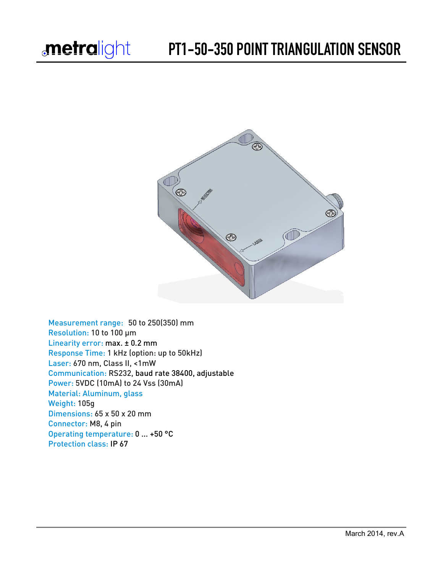

Measurement range: 50 to 250(350) mm Resolution: 10 to 100 µm Linearity error: max. ± 0.2 mm Response Time: 1 kHz (option: up to 50kHz) Laser: 670 nm, Class II, <1mW Communication: RS232, baud rate 38400, adjustable Power: 5VDC (10mA) to 24 Vss (30mA) Material: Aluminum, glass Weight: 105g Dimensions: 65 x 50 x 20 mm Connector: M8, 4 pin Operating temperature: 0 ... +50 °C Protection class: IP 67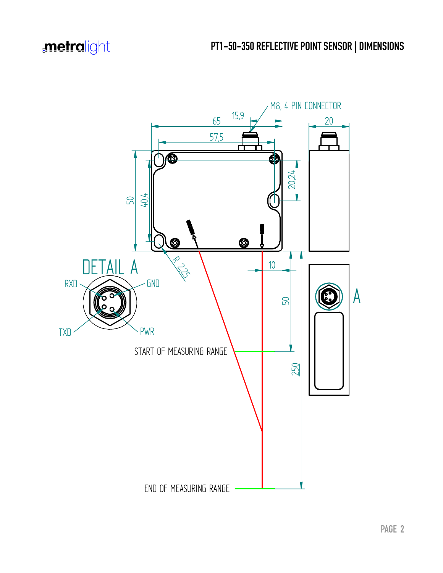

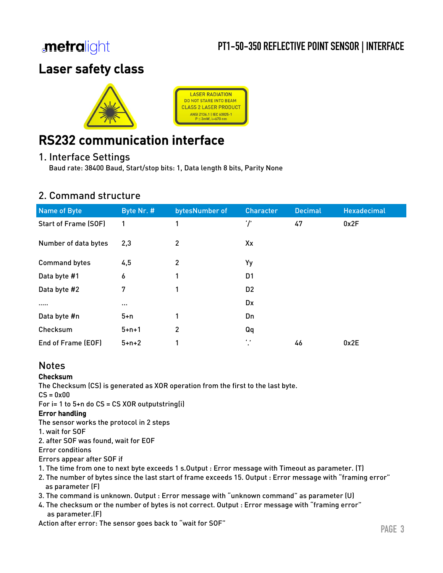# *<u>metralight</u>*

### PT1-50-350 REFLECTIVE POINT SENSOR | INTERFACE

## Laser safety class



### RS232 communication interface

#### 1. Interface Settings

Baud rate: 38400 Baud, Start/stop bits: 1, Data length 8 bits, Parity None

### 2. Command structure

| <b>Name of Byte</b>         | Byte Nr. #  | bytesNumber of | Character         | <b>Decimal</b> | <b>Hexadecimal</b> |
|-----------------------------|-------------|----------------|-------------------|----------------|--------------------|
| <b>Start of Frame (SOF)</b> | 1           | 1              | $\cdot$ / $\cdot$ | 47             | 0x2F               |
| Number of data bytes        | 2,3         | 2              | Xx                |                |                    |
| <b>Command bytes</b>        | 4,5         | 2              | Yy                |                |                    |
| Data byte #1                | 6           | 1              | D1                |                |                    |
| Data byte #2                | 7           | 1              | D <sub>2</sub>    |                |                    |
|                             | $\cdots$    |                | Dx                |                |                    |
| Data byte #n                | $5+n$       | 1              | Dn                |                |                    |
| Checksum                    | $5 + n + 1$ | $\overline{2}$ | Qq                |                |                    |
| End of Frame (EOF)          | $5 + n + 2$ | 1              | $\leftarrow$      | 46             | 0x2E               |

#### **Notes**

#### Checksum

The Checksum (CS) is generated as XOR operation from the first to the last byte.

 $CS = 0x00$ 

For i= 1 to 5+n do CS = CS XOR outputstring(i)

#### Error handling

The sensor works the protocol in 2 steps

- 1. wait for SOF
- 2. after SOF was found, wait for EOF
- Error conditions

Errors appear after SOF if

- 1. The time from one to next byte exceeds 1 s.Output : Error message with Timeout as parameter. (T)
- 2. The number of bytes since the last start of frame exceeds 15. Output : Error message with "framing error" as parameter (F)
- 3. The command is unknown. Output : Error message with "unknown command" as parameter (U)
- 4. The checksum or the number of bytes is not correct. Output : Error message with "framing error" as parameter.(F)

Action after error: The sensor goes back to "wait for SOF"